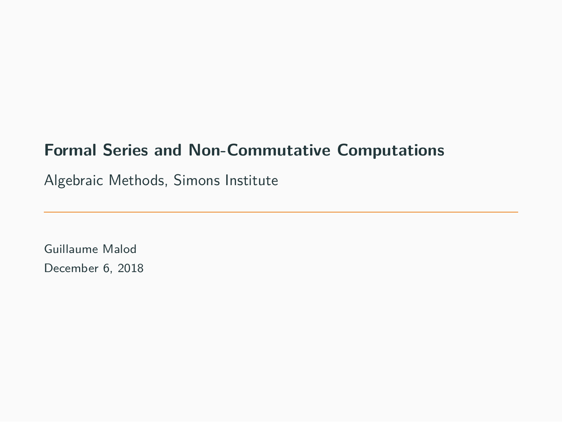## **Formal Series and Non-Commutative Computations**

Algebraic Methods, Simons Institute

Guillaume Malod December 6, 2018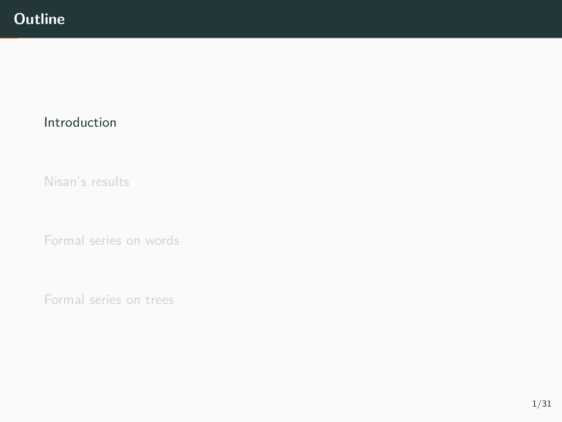## Introduction

Nisan's results

Formal series on words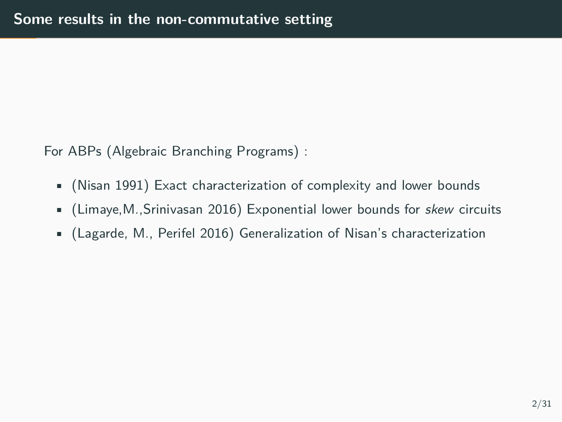For ABPs (Algebraic Branching Programs) :

- (Nisan 1991) Exact characterization of complexity and lower bounds
- (Limaye,M.,Srinivasan 2016) Exponential lower bounds for *skew* circuits
- (Lagarde, M., Perifel 2016) Generalization of Nisan's characterization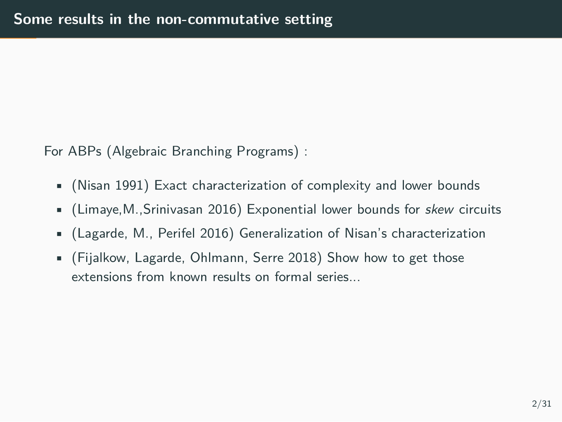For ABPs (Algebraic Branching Programs) :

- (Nisan 1991) Exact characterization of complexity and lower bounds
- (Limaye,M.,Srinivasan 2016) Exponential lower bounds for *skew* circuits
- (Lagarde, M., Perifel 2016) Generalization of Nisan's characterization
- (Fijalkow, Lagarde, Ohlmann, Serre 2018) Show how to get those extensions from known results on formal series...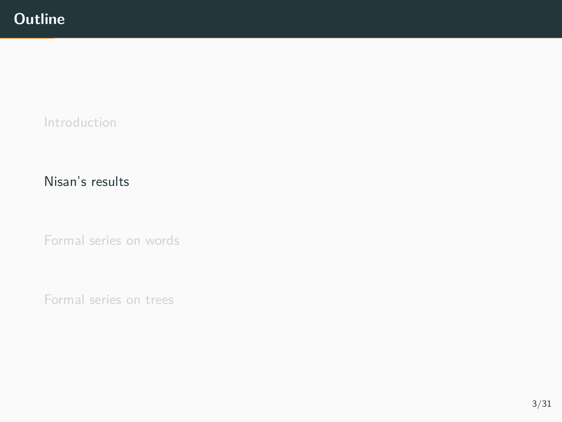Introduction

Nisan's results

Formal series on words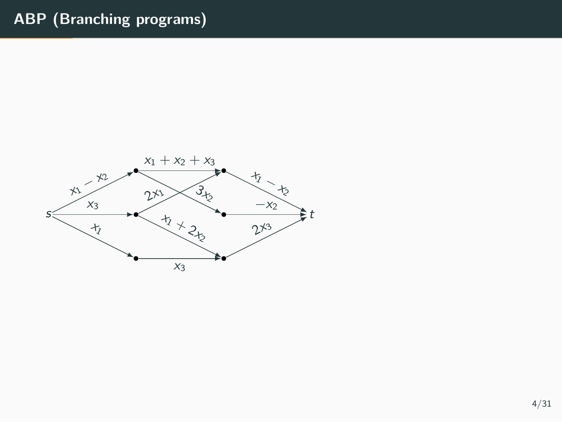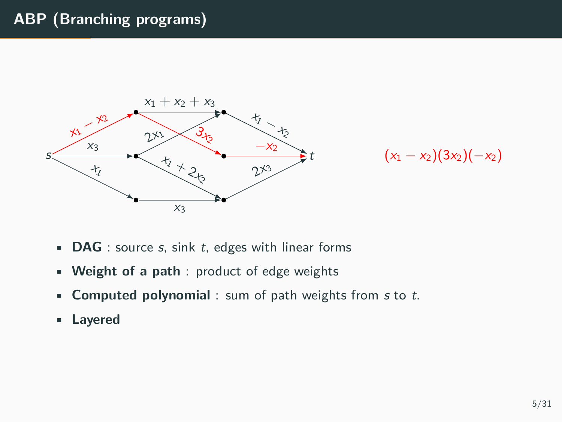## **ABP (Branching programs)**





- **DAG** : source *s*, sink *t*, edges with linear forms
- **Weight of a path** : product of edge weights
- **Computed polynomial** : sum of path weights from *s* to *t*.
- **Layered**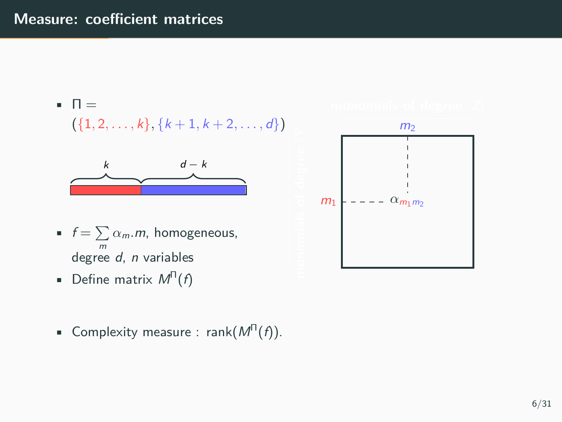

• Complexity measure : rank(*M*<sup>Π</sup> (*f*)).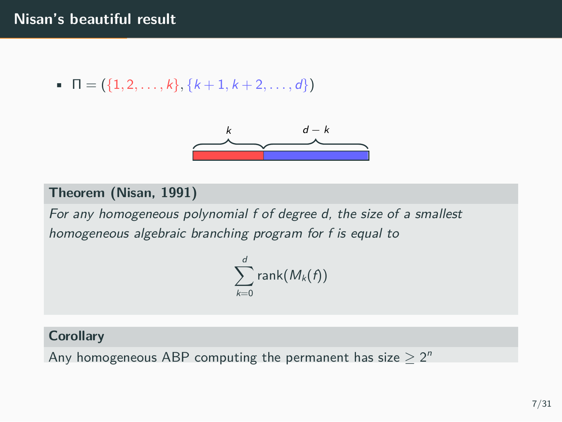$\blacksquare$   $\blacksquare$   $\lceil \frac{1}{2}, \ldots, k \rceil$ ,  $\{k+1, k+2, \ldots, d\}$ 



#### **Theorem (Nisan, 1991)**

*For any homogeneous polynomial f of degree d, the size of a smallest homogeneous algebraic branching program for f is equal to*

> ∑*d k*=0 rank(*Mk*(*f*))

#### **Corollary**

Any homogeneous ABP computing the permanent has size  $\geq 2^n$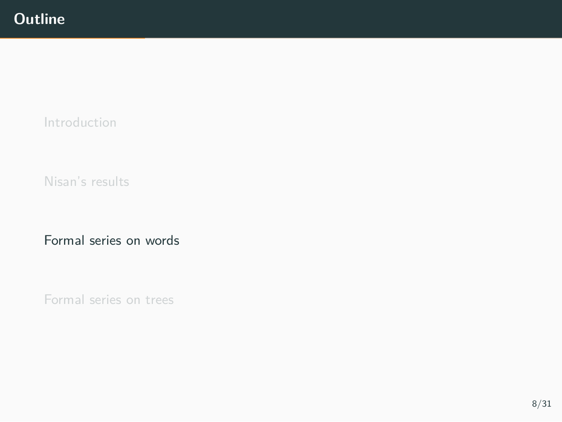Introduction

Nisan's results

Formal series on words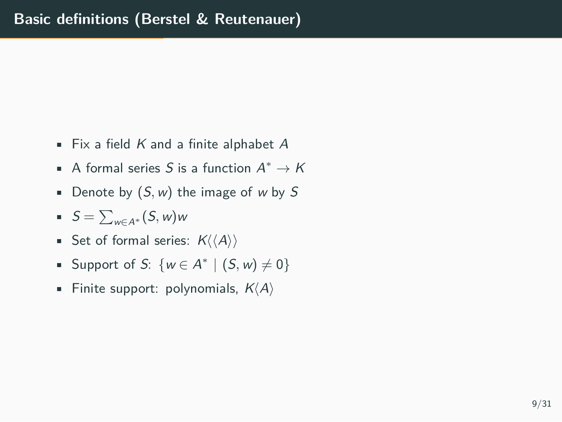- Fix a field *K* and a finite alphabet *A*
- A formal series *S* is a function *A <sup>∗</sup> → K*
- Denote by (*S, w*) the image of *w* by *S*
- *S* = ∑ *<sup>w</sup>∈A<sup>∗</sup>* (*S, <sup>w</sup>*)*<sup>w</sup>*
- Set of formal series: *K⟨⟨A⟩⟩*
- Support of *S*:  $\{w \in A^* \mid (S, w) \neq 0\}$
- Finite support: polynomials, *K⟨A⟩*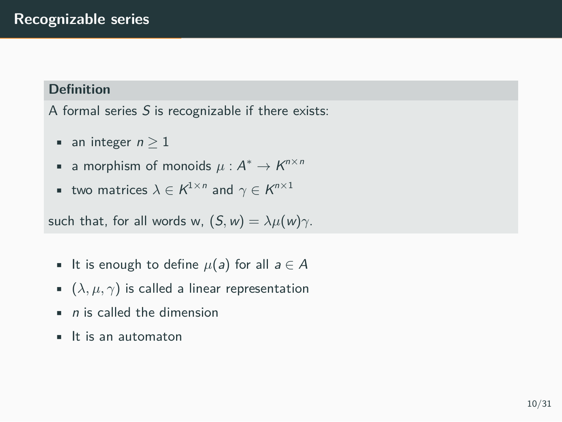### **Definition**

A formal series *S* is recognizable if there exists:

- an integer  $n \geq 1$
- a morphism of monoids  $\mu$  :  $A^*$  →  $K^{n \times n}$
- two matrices  $\lambda \in K^{1 \times n}$  and  $\gamma \in K^{n \times 1}$

such that, for all words w,  $(S, w) = \lambda \mu(w) \gamma$ .

- It is enough to define  $\mu$ (a) for all  $a \in A$
- $\bullet$  ( $\lambda, \mu, \gamma$ ) is called a linear representation
- *n* is called the dimension
- It is an automaton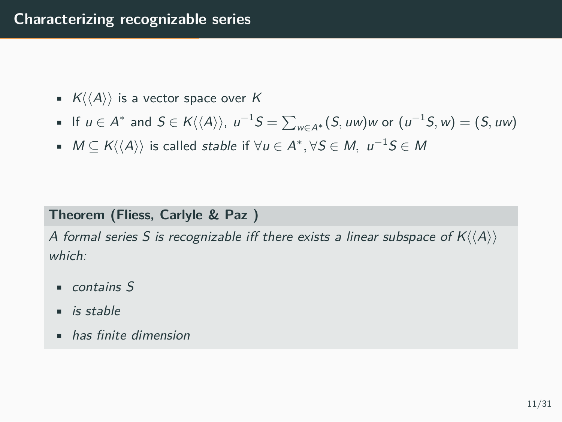- *K⟨⟨A⟩⟩* is a vector space over *K*
- If  $u \in A^*$  and  $S \in K\langle\langle A \rangle\rangle$ ,  $u^{-1}S = \sum_{w \in A^*} (S, uw)w$  or  $(u^{-1}S, w) = (S, uw)$
- *M ⊆ K⟨⟨A⟩⟩* is called *stable* if *∀u ∈ A ∗ , ∀S ∈ M, u <sup>−</sup>*<sup>1</sup>*S ∈ M*

### **Theorem (Fliess, Carlyle & Paz )**

*A formal series S is recognizable iff there exists a linear subspace of K⟨⟨A⟩⟩ which:*

- *contains S*
- *is stable*
- *has finite dimension*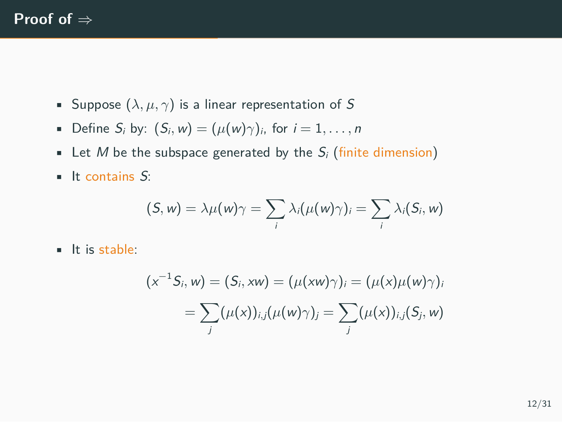- Suppose  $(\lambda, \mu, \gamma)$  is a linear representation of S
- Define  $S_i$  by:  $(S_i, w) = (\mu(w)\gamma)_i$ , for  $i = 1, \ldots, n$
- **•** Let *M* be the subspace generated by the  $S_i$  (finite dimension)
- It contains *S*:

$$
(S, w) = \lambda \mu(w) \gamma = \sum_i \lambda_i(\mu(w) \gamma)_i = \sum_i \lambda_i(S_i, w)
$$

• It is stable:

$$
(x^{-1}S_i, w) = (S_i, xw) = (\mu(xw)\gamma)_i = (\mu(x)\mu(w)\gamma)_i
$$

$$
= \sum_j (\mu(x))_{i,j} (\mu(w)\gamma)_j = \sum_j (\mu(x))_{i,j} (S_j, w)
$$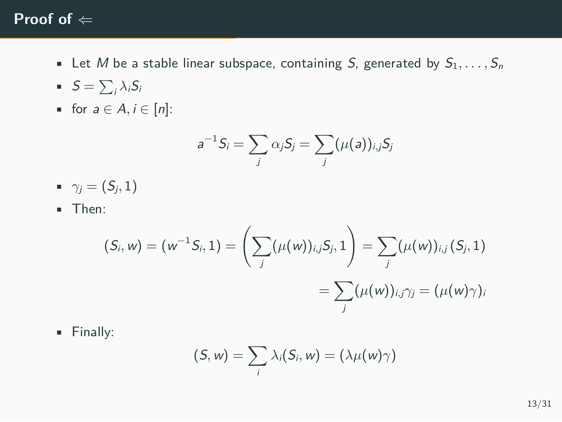## **Proof of** *⇐*

- **•** Let *M* be a stable linear subspace, containing *S*, generated by  $S_1, \ldots, S_n$
- $S = \sum_i \lambda_i S_i$
- for  $a \in A, i \in [n]$ :

$$
a^{-1}S_i = \sum_j \alpha_j S_j = \sum_j (\mu(a))_{i,j} S_j
$$

- $\gamma_i = (S_i, 1)$
- Then:

$$
(S_i, w) = (w^{-1}S_i, 1) = \left(\sum_j (\mu(w))_{i,j}S_j, 1\right) = \sum_j (\mu(w))_{i,j} (S_j, 1)
$$
  
= 
$$
\sum_j (\mu(w))_{i,j}\gamma_j = (\mu(w)\gamma)_j
$$

• Finally:

$$
(S, w) = \sum_i \lambda_i(S_i, w) = (\lambda \mu(w) \gamma)
$$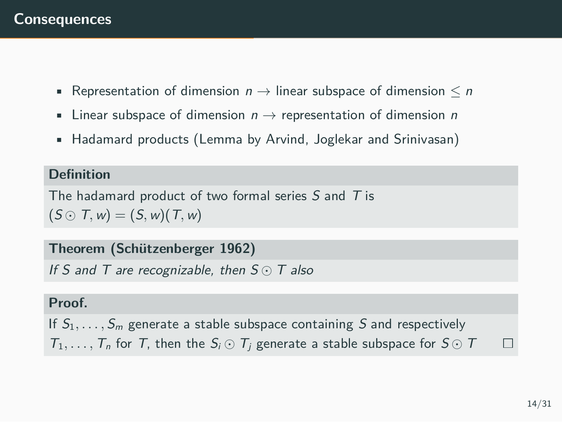- Representation of dimension *n →* linear subspace of dimension *≤ n*
- Linear subspace of dimension *n →* representation of dimension *n*
- Hadamard products (Lemma by Arvind, Joglekar and Srinivasan)

#### **Definition**

The hadamard product of two formal series *S* and *T* is  $(S \odot T, w) = (S, w)(T, w)$ 

### **Theorem (Schützenberger 1962)**

*If S and T are recognizable, then S ⊙ T also*

#### **Proof.**

If *S*1*, . . . , S<sup>m</sup>* generate a stable subspace containing *S* and respectively  $T_1, \ldots, T_n$  for *T*, then the  $S_i \odot T_j$  generate a stable subspace for  $S \odot T$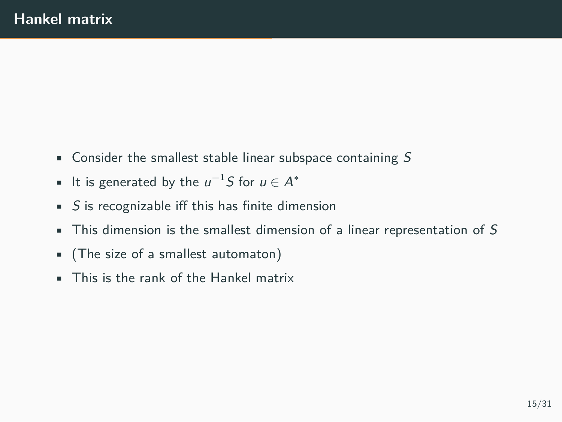- Consider the smallest stable linear subspace containing *S*
- It is generated by the *u <sup>−</sup>*<sup>1</sup>*S* for *u ∈ A ∗*
- *S* is recognizable iff this has finite dimension
- This dimension is the smallest dimension of a linear representation of *S*
- (The size of a smallest automaton)
- This is the rank of the Hankel matrix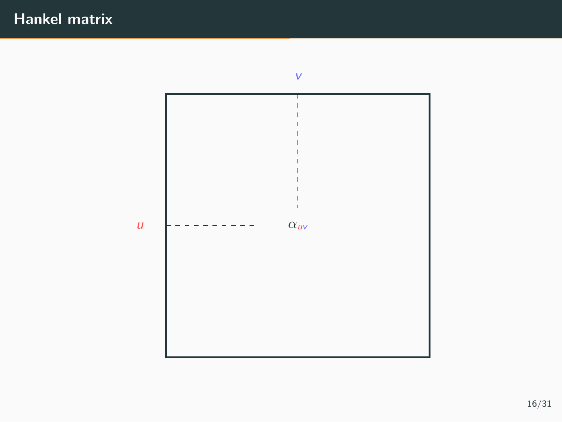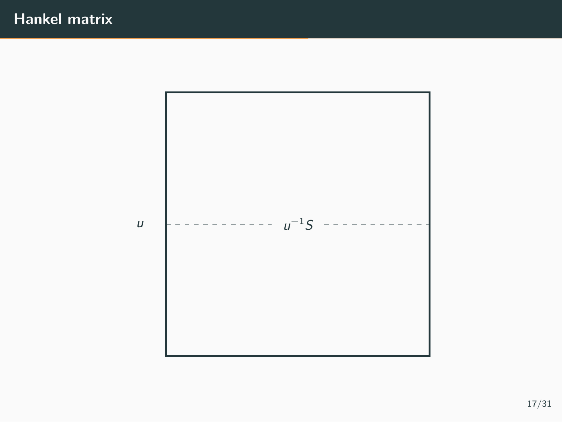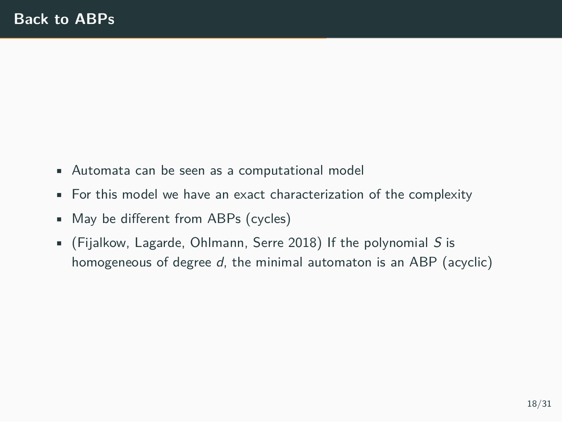- Automata can be seen as a computational model
- For this model we have an exact characterization of the complexity
- May be different from ABPs (cycles)
- (Fijalkow, Lagarde, Ohlmann, Serre 2018) If the polynomial *S* is homogeneous of degree *d*, the minimal automaton is an ABP (acyclic)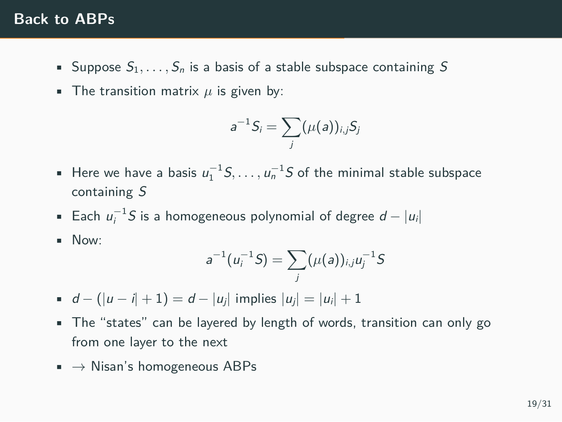### **Back to ABPs**

- Suppose  $S_1, \ldots, S_n$  is a basis of a stable subspace containing S
- The transition matrix  $\mu$  is given by:

$$
a^{-1}S_i=\sum_j(\mu(a))_{i,j}S_j
$$

- Here we have a basis  $u_1^{-1}S, \ldots, u_n^{-1}S$  of the minimal stable subspace containing *S*
- Each *u −*1 *<sup>i</sup> S* is a homogeneous polynomial of degree *d − |ui|*
- Now:

$$
a^{-1}(u_i^{-1}S) = \sum_j (\mu(a))_{i,j} u_j^{-1}S
$$

- $d (|u i| + 1) = d |u_i|$  implies  $|u_i| = |u_i| + 1$
- The "states" can be layered by length of words, transition can only go from one layer to the next
- *→* Nisan's homogeneous ABPs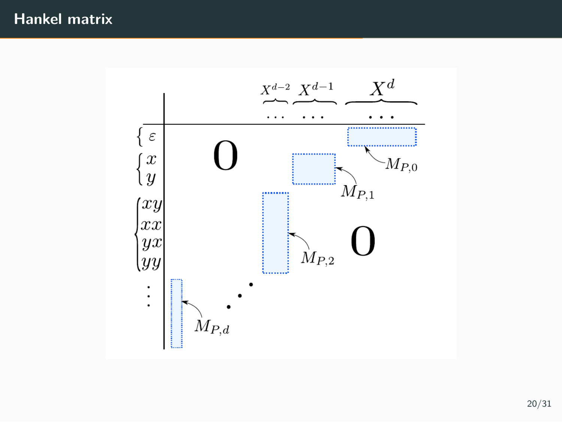## **Hankel matrix**

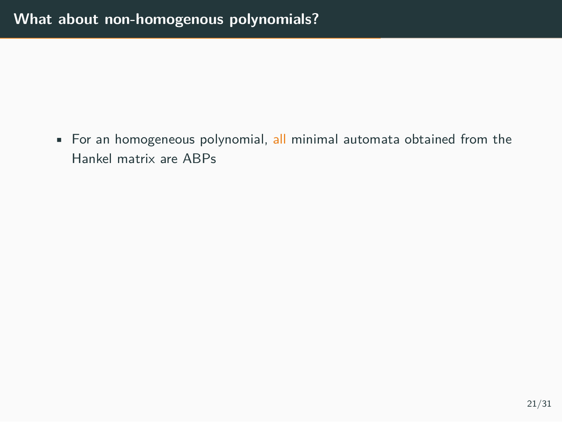• For an homogeneous polynomial, all minimal automata obtained from the Hankel matrix are ABPs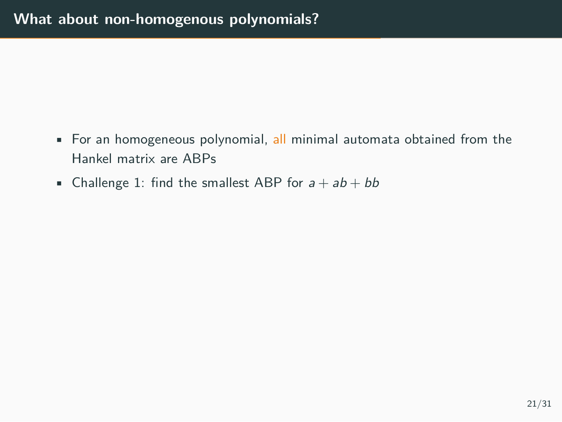- For an homogeneous polynomial, all minimal automata obtained from the Hankel matrix are ABPs
- Challenge 1: find the smallest ABP for  $a + ab + bb$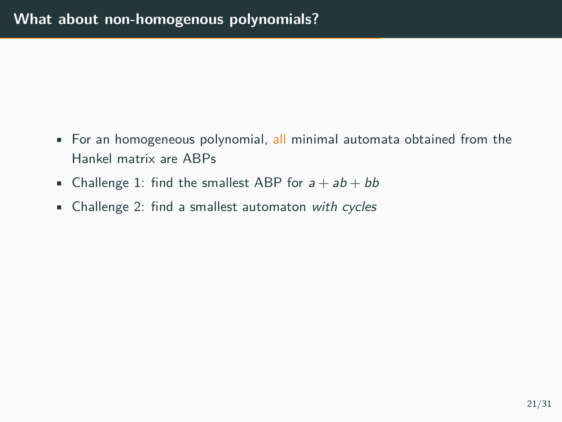- For an homogeneous polynomial, all minimal automata obtained from the Hankel matrix are ABPs
- Challenge 1: find the smallest ABP for  $a + ab + bb$
- Challenge 2: find a smallest automaton *with cycles*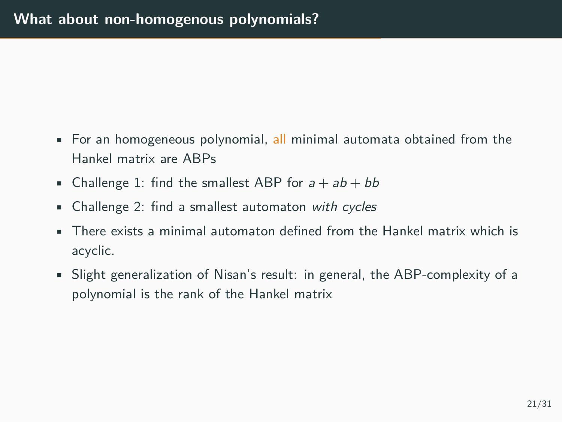- For an homogeneous polynomial, all minimal automata obtained from the Hankel matrix are ABPs
- Challenge 1: find the smallest ABP for  $a + ab + bb$
- Challenge 2: find a smallest automaton *with cycles*
- There exists a minimal automaton defined from the Hankel matrix which is acyclic.
- Slight generalization of Nisan's result: in general, the ABP-complexity of a polynomial is the rank of the Hankel matrix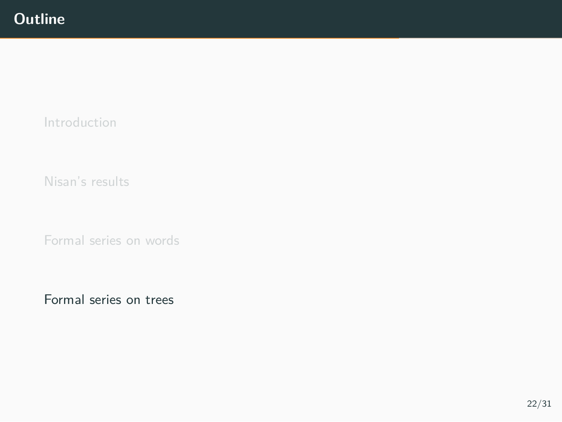Introduction

Nisan's results

Formal series on words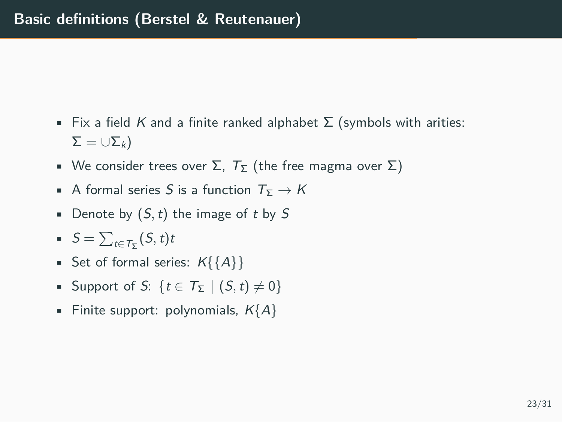- Fix a field *K* and a finite ranked alphabet Σ (symbols with arities:  $Σ = ∪Σ<sub>k</sub>$ )
- We consider trees over  $\Sigma$ ,  $T_{\Sigma}$  (the free magma over  $\Sigma$ )
- **•** A formal series *S* is a function  $T_{\Sigma} \rightarrow K$
- Denote by (*S,t*) the image of *t* by *S*
- $S = \sum_{t \in \mathcal{T}_{\Sigma}} (S, t)t$
- Set of formal series: *K{{A}}*
- Support of *S*: { $t \in T_{\Sigma}$  | (*S*, *t*)  $\neq$  0}
- Finite support: polynomials, *K{A}*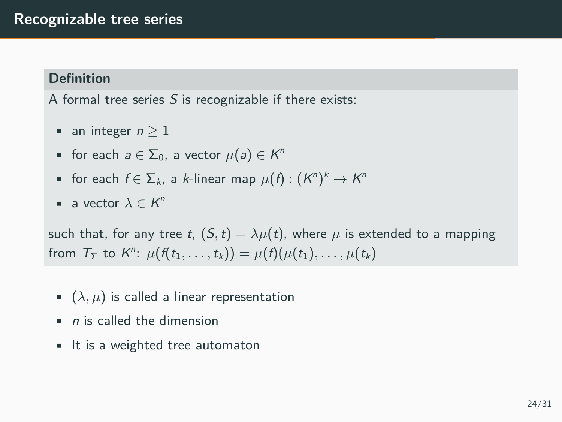#### **Definition**

A formal tree series *S* is recognizable if there exists:

- an integer  $n \geq 1$
- for each  $a \in \Sigma_0$ , a vector  $\mu(a) \in K^n$
- for each  $f \in \Sigma_k$ , a *k*-linear map  $\mu(f) : (K^n)^k \to K^n$
- a vector  $\lambda \in K^n$

such that, for any tree *t*,  $(S, t) = \lambda \mu(t)$ , where  $\mu$  is extended to a mapping  $\mathcal{T}_{\Sigma}$  to  $K^{n}$ :  $\mu(f(t_1,\ldots,t_k)) = \mu(f)(\mu(t_1),\ldots,\mu(t_k))$ 

- $\bullet$   $(\lambda, \mu)$  is called a linear representation
- *n* is called the dimension
- It is a weighted tree automaton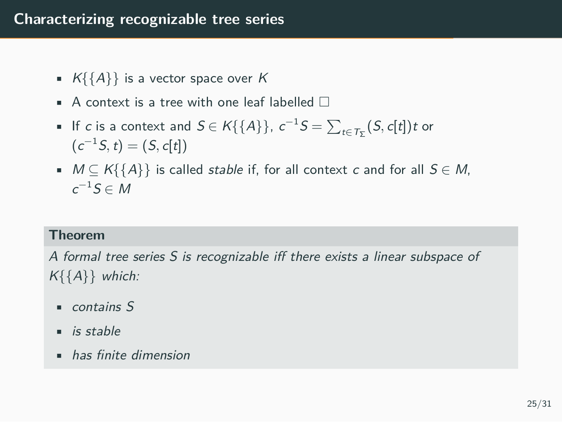### **Characterizing recognizable tree series**

- *K{{A}}* is a vector space over *K*
- A context is a tree with one leaf labelled  $\Box$
- If *c* is a context and  $S \in K\{\{A\}\}\$ ,  $c^{-1}S = \sum_{t \in T_{\Sigma}} (S, c[t]) t$  or  $(c^{-1}S, t) = (S, c[t])$
- *M ⊆ K{{A}}* is called *stable* if, for all context *c* and for all *S ∈ M*, *c <sup>−</sup>*<sup>1</sup>*S ∈ M*

### **Theorem**

*A formal tree series S is recognizable iff there exists a linear subspace of K{{A}} which:*

- *contains S*
- *is stable*
- *has finite dimension*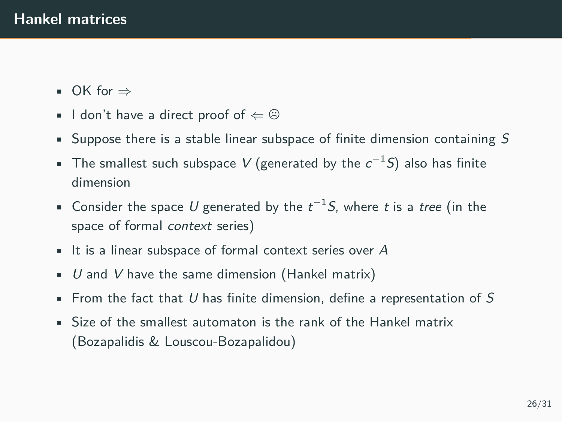- OK for *⇒*
- I don't have a direct proof of  $\Leftarrow$  <sup>©</sup>
- Suppose there is a stable linear subspace of finite dimension containing *S*
- The smallest such subspace *V* (generated by the *c <sup>−</sup>*<sup>1</sup>*S*) also has finite dimension
- Consider the space *U* generated by the *t <sup>−</sup>*<sup>1</sup>*S*, where *t* is a *tree* (in the space of formal *context* series)
- It is a linear subspace of formal context series over *A*
- *U* and *V* have the same dimension (Hankel matrix)
- From the fact that *U* has finite dimension, define a representation of *S*
- Size of the smallest automaton is the rank of the Hankel matrix (Bozapalidis & Louscou-Bozapalidou)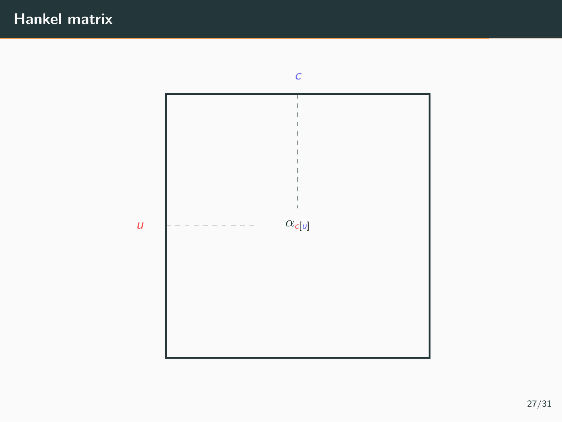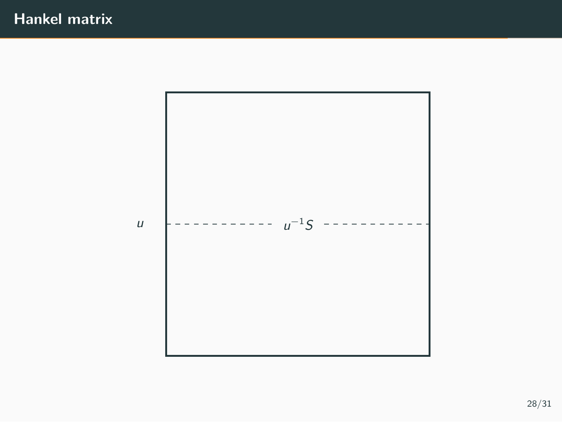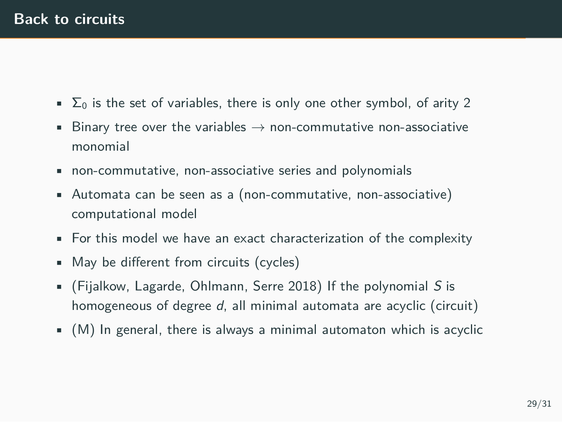- $\sum_{n=1}^{\infty}$  is the set of variables, there is only one other symbol, of arity 2
- Binary tree over the variables *→* non-commutative non-associative monomial
- non-commutative, non-associative series and polynomials
- Automata can be seen as a (non-commutative, non-associative) computational model
- For this model we have an exact characterization of the complexity
- May be different from circuits (cycles)
- (Fijalkow, Lagarde, Ohlmann, Serre 2018) If the polynomial *S* is homogeneous of degree *d*, all minimal automata are acyclic (circuit)
- (M) In general, there is always a minimal automaton which is acyclic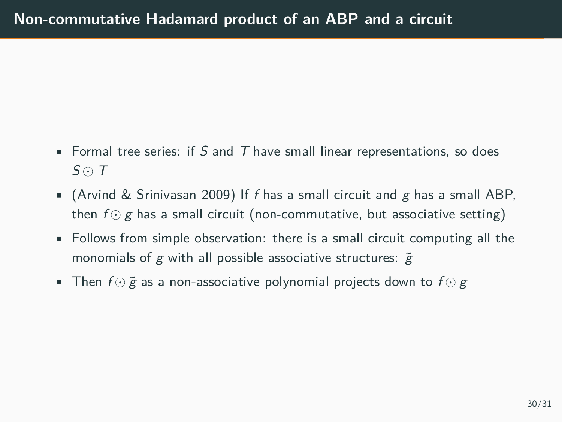- Formal tree series: if *S* and *T* have small linear representations, so does *S ⊙ T*
- (Arvind & Srinivasan 2009) If *f* has a small circuit and *g* has a small ABP, then *f ⊙ g* has a small circuit (non-commutative, but associative setting)
- Follows from simple observation: there is a small circuit computing all the monomials of *g* with all possible associative structures:  $\tilde{g}$
- Then *f ⊙* ˜*g* as a non-associative polynomial projects down to *f ⊙ g*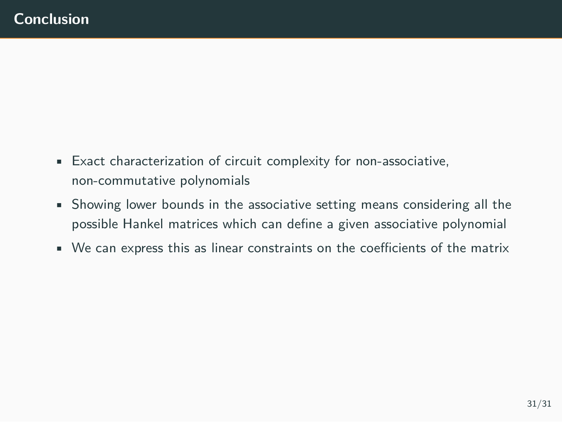- Exact characterization of circuit complexity for non-associative, non-commutative polynomials
- Showing lower bounds in the associative setting means considering all the possible Hankel matrices which can define a given associative polynomial
- We can express this as linear constraints on the coefficients of the matrix